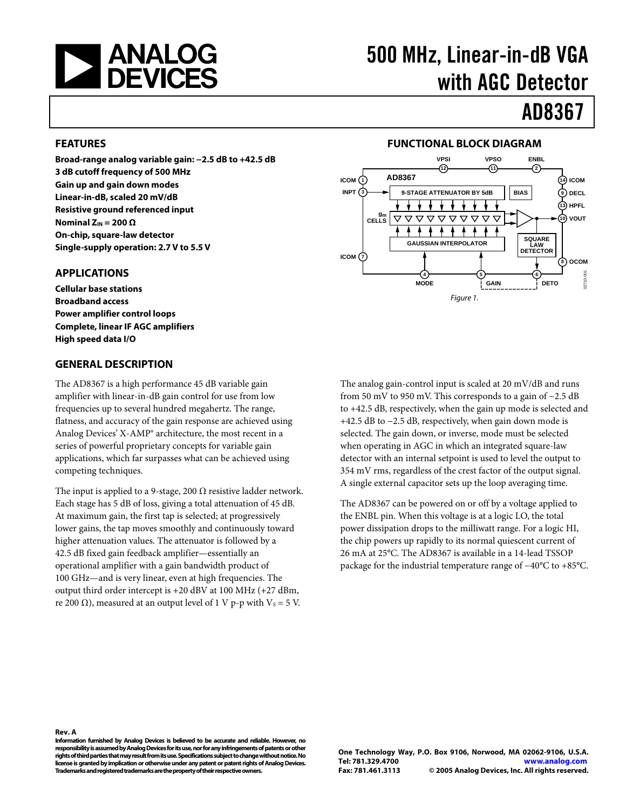<span id="page-0-0"></span>

# 500 MHz, Linear-in-dB VGA with AGC Detector

# AD8367

#### **FEATURES**

**Broad-range analog variable gain: −2.5 dB to +42.5 dB 3 dB cutoff frequency of 500 MHz Gain up and gain down modes Linear-in-dB, scaled 20 mV/dB Resistive ground referenced input Nominal ZIN = 200 Ω On-chip, square-law detector Single-supply operation: 2.7 V to 5.5 V** 

#### **APPLICATIONS**

**Cellular base stations Broadband access Power amplifier control loops Complete, linear IF AGC amplifiers High speed data I/O** 

#### **GENERAL DESCRIPTION**

The AD8367 is a high performance 45 dB variable gain amplifier with linear-in-dB gain control for use from low frequencies up to several hundred megahertz. The range, flatness, and accuracy of the gain response are achieved using Analog Devices' X-AMP® architecture, the most recent in a series of powerful proprietary concepts for variable gain applications, which far surpasses what can be achieved using competing techniques.

The input is applied to a 9-stage, 200  $\Omega$  resistive ladder network. Each stage has 5 dB of loss, giving a total attenuation of 45 dB. At maximum gain, the first tap is selected; at progressively lower gains, the tap moves smoothly and continuously toward higher attenuation values. The attenuator is followed by a 42.5 dB fixed gain feedback amplifier—essentially an operational amplifier with a gain bandwidth product of 100 GHz—and is very linear, even at high frequencies. The output third order intercept is +20 dBV at 100 MHz (+27 dBm, re 200 Ω), measured at an output level of 1 V p-p with  $V_s = 5$  V.

#### **FUNCTIONAL BLOCK DIAGRAM**



The analog gain-control input is scaled at 20 mV/dB and runs from 50 mV to 950 mV. This corresponds to a gain of −2.5 dB to +42.5 dB, respectively, when the gain up mode is selected and +42.5 dB to −2.5 dB, respectively, when gain down mode is selected. The gain down, or inverse, mode must be selected when operating in AGC in which an integrated square-law detector with an internal setpoint is used to level the output to 354 mV rms, regardless of the crest factor of the output signal. A single external capacitor sets up the loop averaging time.

The AD8367 can be powered on or off by a voltage applied to the ENBL pin. When this voltage is at a logic LO, the total power dissipation drops to the milliwatt range. For a logic HI, the chip powers up rapidly to its normal quiescent current of 26 mA at 25°C. The AD8367 is available in a 14-lead TSSOP package for the industrial temperature range of −40°C to +85°C.

**Information furnished by Analog Devices is believed to be accurate and reliable. However, no responsibility is assumed by Analog Devices for its use, nor for any infringements of patents or other rights of third parties that may result from its use. Specifications subject to change without notice. No license is granted by implication or otherwise under any patent or patent rights of Analog Devices. Trademarks and registered trademarks are the property of their respective owners.** 

**Rev. A**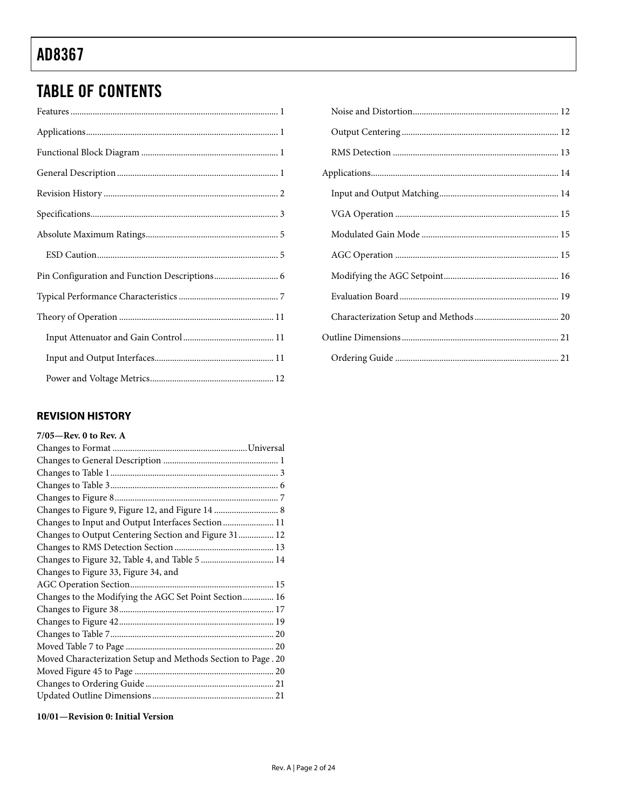# <span id="page-1-0"></span>TABLE OF CONTENTS

### **REVISION HISTORY**

| $7/05$ —Rev. 0 to Rev. A                                     |
|--------------------------------------------------------------|
|                                                              |
|                                                              |
|                                                              |
|                                                              |
|                                                              |
|                                                              |
| Changes to Input and Output Interfaces Section  11           |
| Changes to Output Centering Section and Figure 31 12         |
|                                                              |
| Changes to Figure 32, Table 4, and Table 5  14               |
| Changes to Figure 33, Figure 34, and                         |
|                                                              |
| Changes to the Modifying the AGC Set Point Section 16        |
|                                                              |
|                                                              |
|                                                              |
|                                                              |
| Moved Characterization Setup and Methods Section to Page. 20 |
|                                                              |
|                                                              |
|                                                              |
|                                                              |

**10/01—Revision 0: Initial Version**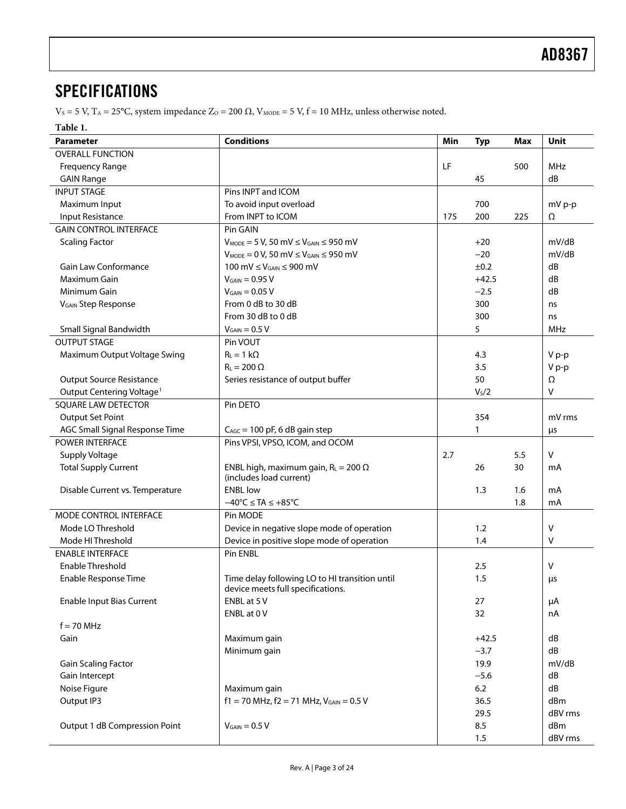### <span id="page-2-0"></span>**SPECIFICATIONS**

 $V_s$  = 5 V, T<sub>A</sub> = 25°C, system impedance Z<sub>O</sub> = 200 Ω, V<sub>MODE</sub> = 5 V, f = 10 MHz, unless otherwise noted.

#### **Table 1.**

| Parameter                             | <b>Conditions</b>                                                                   | Min | <b>Typ</b>        | Max | Unit       |
|---------------------------------------|-------------------------------------------------------------------------------------|-----|-------------------|-----|------------|
| <b>OVERALL FUNCTION</b>               |                                                                                     |     |                   |     |            |
| <b>Frequency Range</b>                |                                                                                     |     |                   | 500 | MHz        |
| <b>GAIN Range</b>                     |                                                                                     |     | 45                |     | dB         |
| <b>INPUT STAGE</b>                    | Pins INPT and ICOM                                                                  |     |                   |     |            |
| Maximum Input                         | To avoid input overload                                                             |     | 700               |     | mV p-p     |
| <b>Input Resistance</b>               | From INPT to ICOM                                                                   | 175 | 200               | 225 | Ω          |
| <b>GAIN CONTROL INTERFACE</b>         | Pin GAIN                                                                            |     |                   |     |            |
| <b>Scaling Factor</b>                 | $V_{MODE} = 5 V$ , 50 mV $\leq V_{GAIN} \leq 950$ mV                                |     | $+20$             |     | mV/dB      |
|                                       | $V_{MODE} = 0 V$ , 50 mV $\leq V_{GAIN} \leq 950$ mV                                |     | $-20$             |     | mV/dB      |
| Gain Law Conformance                  | 100 mV $\leq$ V <sub>GAIN</sub> $\leq$ 900 mV                                       |     | $\pm 0.2$         |     | dB         |
| Maximum Gain                          | $V_{GAIN} = 0.95 V$                                                                 |     | $+42.5$           |     | dB         |
| Minimum Gain                          | $V_{GAIN} = 0.05 V$                                                                 |     | $-2.5$            |     | dB         |
| V <sub>GAIN</sub> Step Response       | From 0 dB to 30 dB                                                                  |     | 300               |     | ns         |
|                                       | From 30 dB to 0 dB                                                                  |     | 300               |     | ns         |
| Small Signal Bandwidth                | $V_{GAIN} = 0.5 V$                                                                  |     | 5                 |     | <b>MHz</b> |
| <b>OUTPUT STAGE</b>                   | Pin VOUT                                                                            |     |                   |     |            |
| Maximum Output Voltage Swing          | $R_L = 1 k\Omega$                                                                   |     | 4.3               |     | V p-p      |
|                                       | $R_{L} = 200 \Omega$                                                                |     | 3.5               |     | V p-p      |
| <b>Output Source Resistance</b>       | Series resistance of output buffer                                                  |     | 50                |     | Ω          |
| Output Centering Voltage <sup>1</sup> |                                                                                     |     | V <sub>s</sub> /2 |     | V          |
| SQUARE LAW DETECTOR                   | Pin DETO                                                                            |     |                   |     |            |
| <b>Output Set Point</b>               |                                                                                     |     | 354               |     | mV rms     |
| AGC Small Signal Response Time        | $C_{\text{AGC}} = 100$ pF, 6 dB gain step                                           |     | 1                 |     | μs         |
| POWER INTERFACE                       | Pins VPSI, VPSO, ICOM, and OCOM                                                     |     |                   |     |            |
| Supply Voltage                        |                                                                                     | 2.7 |                   | 5.5 | $\vee$     |
| <b>Total Supply Current</b>           | ENBL high, maximum gain, $R_L = 200 \Omega$                                         |     | 26                | 30  | mA         |
|                                       | (includes load current)                                                             |     |                   |     |            |
| Disable Current vs. Temperature       | <b>ENBL low</b>                                                                     |     | 1.3               | 1.6 | mA         |
|                                       | $-40^{\circ}$ C $\leq$ TA $\leq +85^{\circ}$ C                                      |     |                   | 1.8 | mA         |
| MODE CONTROL INTERFACE                | Pin MODE                                                                            |     |                   |     |            |
| Mode LO Threshold                     | Device in negative slope mode of operation                                          |     | 1.2               |     | $\vee$     |
| Mode HI Threshold                     | Device in positive slope mode of operation                                          |     | 1.4               |     | V          |
| <b>ENABLE INTERFACE</b>               | Pin ENBL                                                                            |     |                   |     |            |
| Enable Threshold                      |                                                                                     |     | 2.5               |     | v          |
| Enable Response Time                  | Time delay following LO to HI transition until<br>device meets full specifications. |     | 1.5               |     | μs         |
| <b>Enable Input Bias Current</b>      | ENBL at 5 V                                                                         |     | 27                |     | μA         |
|                                       | ENBL at 0 V                                                                         |     | 32                |     | nA         |
| $f = 70$ MHz                          |                                                                                     |     |                   |     |            |
| Gain                                  | Maximum gain                                                                        |     | $+42.5$           |     | dB         |
|                                       | Minimum gain                                                                        |     | $-3.7$            |     | dB         |
| <b>Gain Scaling Factor</b>            |                                                                                     |     | 19.9              |     | mV/dB      |
| Gain Intercept                        |                                                                                     |     | $-5.6$            |     | dB         |
| Noise Figure                          | Maximum gain                                                                        |     | 6.2               |     | dB         |
| Output IP3                            | $f1 = 70$ MHz, $f2 = 71$ MHz, $V_{GAIN} = 0.5$ V                                    |     | 36.5              |     | dBm        |
|                                       |                                                                                     |     | 29.5              |     | dBV rms    |
| Output 1 dB Compression Point         | $V_{GAIN} = 0.5 V$                                                                  |     | 8.5               |     | dBm        |
|                                       |                                                                                     |     | 1.5               |     | dBV rms    |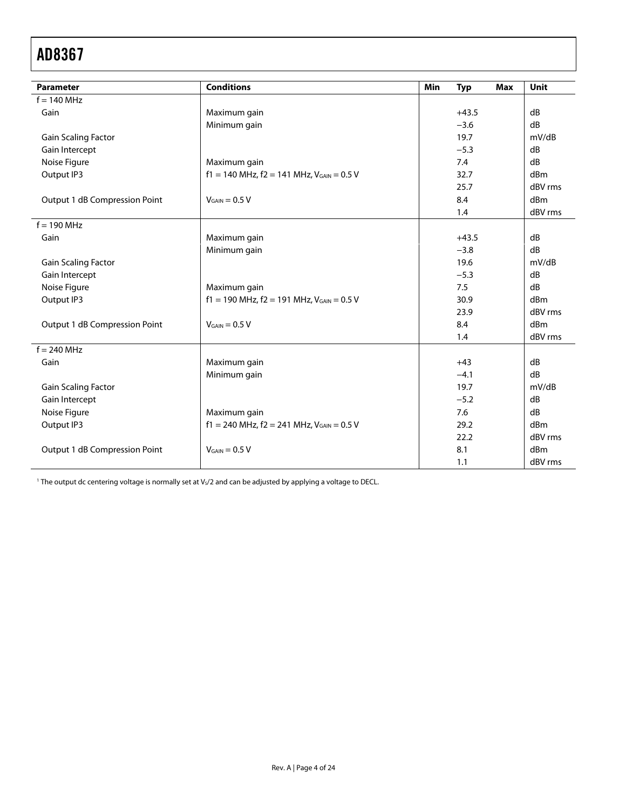<span id="page-3-0"></span>

| <b>Parameter</b>              | <b>Conditions</b>                                  | Min | <b>Typ</b> | <b>Max</b> | Unit            |
|-------------------------------|----------------------------------------------------|-----|------------|------------|-----------------|
| $f = 140$ MHz                 |                                                    |     |            |            |                 |
| Gain                          | Maximum gain                                       |     | $+43.5$    |            | dB              |
|                               | Minimum gain                                       |     | $-3.6$     |            | dB              |
| <b>Gain Scaling Factor</b>    |                                                    |     | 19.7       |            | mV/dB           |
| Gain Intercept                |                                                    |     | $-5.3$     |            | dB              |
| Noise Figure                  | Maximum gain                                       |     | 7.4        |            | dB              |
| Output IP3                    | $f1 = 140$ MHz, $f2 = 141$ MHz, $V_{GAIN} = 0.5$ V |     | 32.7       |            | dBm             |
|                               |                                                    |     | 25.7       |            | dBV rms         |
| Output 1 dB Compression Point | $V_{GAIN} = 0.5 V$                                 |     | 8.4        |            | dBm             |
|                               |                                                    |     | 1.4        |            | dBV rms         |
| $f = 190$ MHz                 |                                                    |     |            |            |                 |
| Gain                          | Maximum gain                                       |     | $+43.5$    |            | dB              |
|                               | Minimum gain                                       |     | $-3.8$     |            | dB              |
| <b>Gain Scaling Factor</b>    |                                                    |     | 19.6       |            | mV/dB           |
| Gain Intercept                |                                                    |     | $-5.3$     |            | dB              |
| Noise Figure                  | Maximum gain                                       |     | 7.5        |            | dB              |
| Output IP3                    | $f1 = 190$ MHz, $f2 = 191$ MHz, $V_{GAIN} = 0.5$ V |     | 30.9       |            | dBm             |
|                               |                                                    |     | 23.9       |            | dBV rms         |
| Output 1 dB Compression Point | $V_{GAIN} = 0.5 V$                                 |     | 8.4        |            | dBm             |
|                               |                                                    |     | 1.4        |            | dBV rms         |
| $f = 240$ MHz                 |                                                    |     |            |            |                 |
| Gain                          | Maximum gain                                       |     | $+43$      |            | dB              |
|                               | Minimum gain                                       |     | $-4.1$     |            | $\overline{AB}$ |
| <b>Gain Scaling Factor</b>    |                                                    |     | 19.7       |            | mV/dB           |
| Gain Intercept                |                                                    |     | $-5.2$     |            | dB              |
| Noise Figure                  | Maximum gain                                       |     | 7.6        |            | dB              |
| Output IP3                    | $f1 = 240$ MHz, $f2 = 241$ MHz, $V_{GAIN} = 0.5$ V |     | 29.2       |            | dBm             |
|                               |                                                    |     | 22.2       |            | dBV rms         |
| Output 1 dB Compression Point | $V_{GAIN} = 0.5 V$                                 |     | 8.1        |            | dBm             |
|                               |                                                    |     | 1.1        |            | dBV rms         |

 $^1$  The output dc centering voltage is normally set at Vs/2 and can be adjusted by applying a voltage to DECL.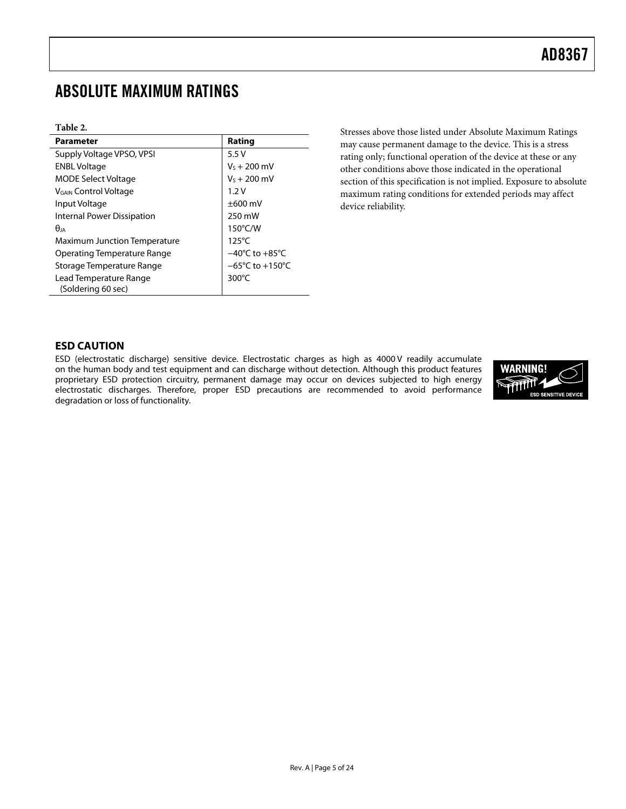# <span id="page-4-0"></span>ABSOLUTE MAXIMUM RATINGS

#### **Table 2.**

| <b>Parameter</b>                             | Rating                               |
|----------------------------------------------|--------------------------------------|
| Supply Voltage VPSO, VPSI                    | 5.5V                                 |
| <b>ENBL Voltage</b>                          | $V_5 + 200$ mV                       |
| <b>MODE Select Voltage</b>                   | $V_5 + 200$ mV                       |
| V <sub>GAIN</sub> Control Voltage            | 1.2V                                 |
| Input Voltage                                | $\pm 600$ mV                         |
| Internal Power Dissipation                   | 250 mW                               |
| $\theta$ ia                                  | 150°C/W                              |
| <b>Maximum Junction Temperature</b>          | $125^{\circ}$ C                      |
| <b>Operating Temperature Range</b>           | $-40^{\circ}$ C to $+85^{\circ}$ C   |
| Storage Temperature Range                    | $-65^{\circ}$ C to +150 $^{\circ}$ C |
| Lead Temperature Range<br>(Soldering 60 sec) | $300^{\circ}$ C                      |

Stresses above those listed under Absolute Maximum Ratings may cause permanent damage to the device. This is a stress rating only; functional operation of the device at these or any other conditions above those indicated in the operational section of this specification is not implied. Exposure to absolute maximum rating conditions for extended periods may affect device reliability.

#### **ESD CAUTION**

ESD (electrostatic discharge) sensitive device. Electrostatic charges as high as 4000 V readily accumulate on the human body and test equipment and can discharge without detection. Although this product features proprietary ESD protection circuitry, permanent damage may occur on devices subjected to high energy electrostatic discharges. Therefore, proper ESD precautions are recommended to avoid performance degradation or loss of functionality.

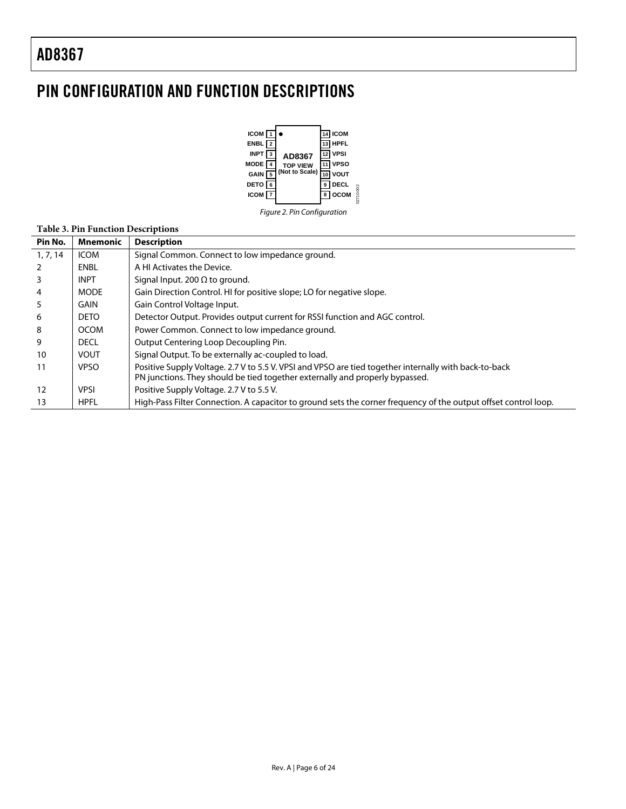l,

 $\overline{a}$ 

# <span id="page-5-0"></span>PIN CONFIGURATION AND FUNCTION DESCRIPTIONS



Figure 2. Pin Configuration

### **Table 3. Pin Function Descriptions**

| Pin No.        | Mnemonic    | <b>Description</b>                                                                                                                                                                    |
|----------------|-------------|---------------------------------------------------------------------------------------------------------------------------------------------------------------------------------------|
| 1, 7, 14       | <b>ICOM</b> | Signal Common. Connect to low impedance ground.                                                                                                                                       |
| 2              | ENBL        | A HI Activates the Device.                                                                                                                                                            |
| 3              | <b>INPT</b> | Signal Input. 200 $\Omega$ to ground.                                                                                                                                                 |
| $\overline{4}$ | <b>MODE</b> | Gain Direction Control. HI for positive slope; LO for negative slope.                                                                                                                 |
| 5              | GAIN        | Gain Control Voltage Input.                                                                                                                                                           |
| 6              | <b>DETO</b> | Detector Output. Provides output current for RSSI function and AGC control.                                                                                                           |
| 8              | <b>OCOM</b> | Power Common. Connect to low impedance ground.                                                                                                                                        |
| 9              | <b>DECL</b> | Output Centering Loop Decoupling Pin.                                                                                                                                                 |
| 10             | <b>VOUT</b> | Signal Output. To be externally ac-coupled to load.                                                                                                                                   |
| 11             | <b>VPSO</b> | Positive Supply Voltage. 2.7 V to 5.5 V. VPSI and VPSO are tied together internally with back-to-back<br>PN junctions. They should be tied together externally and properly bypassed. |
| 12             | <b>VPSI</b> | Positive Supply Voltage. 2.7 V to 5.5 V.                                                                                                                                              |
| 13             | <b>HPFL</b> | High-Pass Filter Connection. A capacitor to ground sets the corner frequency of the output offset control loop.                                                                       |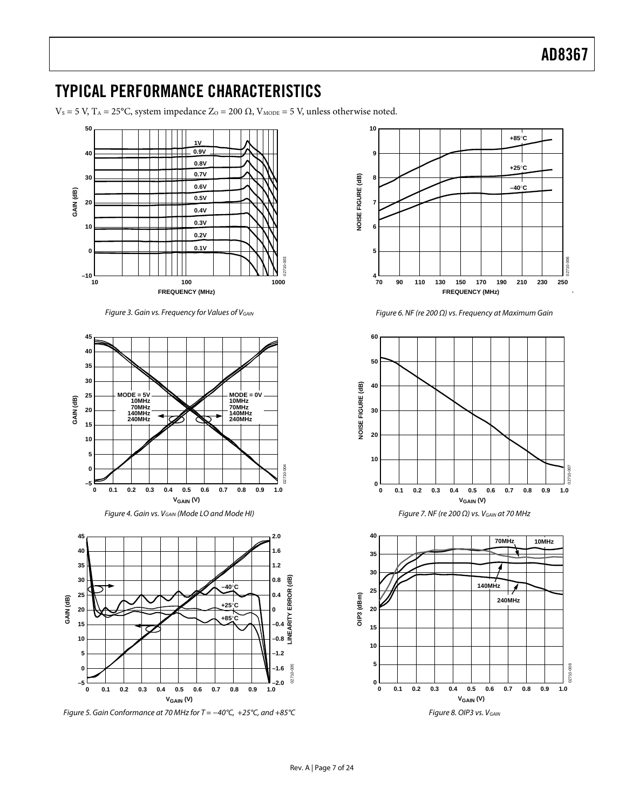### <span id="page-6-0"></span>TYPICAL PERFORMANCE CHARACTERISTICS

 $V<sub>S</sub> = 5$  V, T<sub>A</sub> = 25°C, system impedance Z<sub>O</sub> = 200 Ω, V<sub>MODE</sub> = 5 V, unless otherwise noted.



Figure 3. Gain vs. Frequency for Values of VGAIN







Figure 5. Gain Conformance at 70 MHz for T = −40°C, +25°C, and +85°C



Figure 6. NF (re 200 Ω) vs. Frequency at Maximum Gain



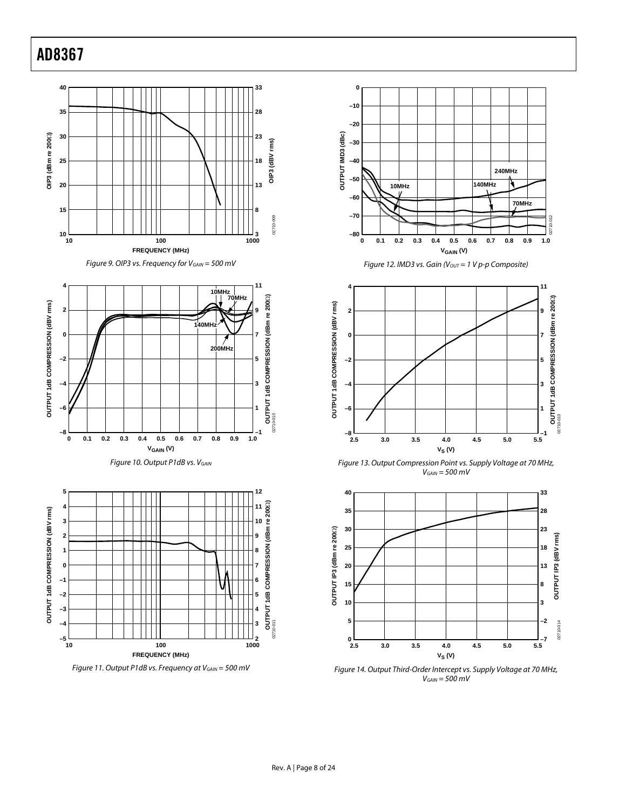



















Figure 14. Output Third-Order Intercept vs. Supply Voltage at 70 MHz,  $V_{GAIN} = 500$  mV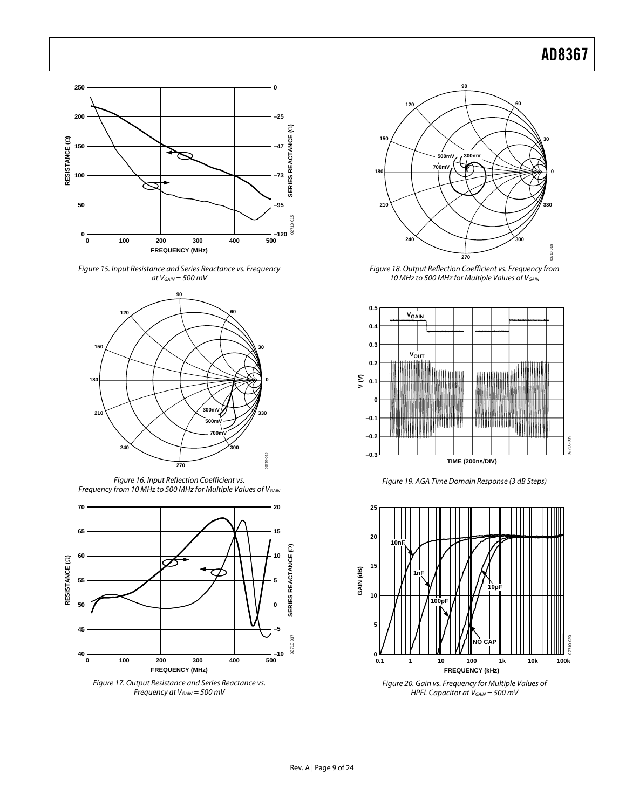





Figure 16. Input Reflection Coefficient vs. Frequency from 10 MHz to 500 MHz for Multiple Values of V<sub>GAIN</sub>



<span id="page-8-0"></span>Figure 17. Output Resistance and Series Reactance vs. Frequency at  $V_{GAIN} = 500$  mV



Figure 18. Output Reflection Coefficient vs. Frequency from 10 MHz to 500 MHz for Multiple Values of VGAIN



Figure 19. AGA Time Domain Response (3 dB Steps)



Figure 20. Gain vs. Frequency for Multiple Values of HPFL Capacitor at  $V_{GAIN} = 500$  mV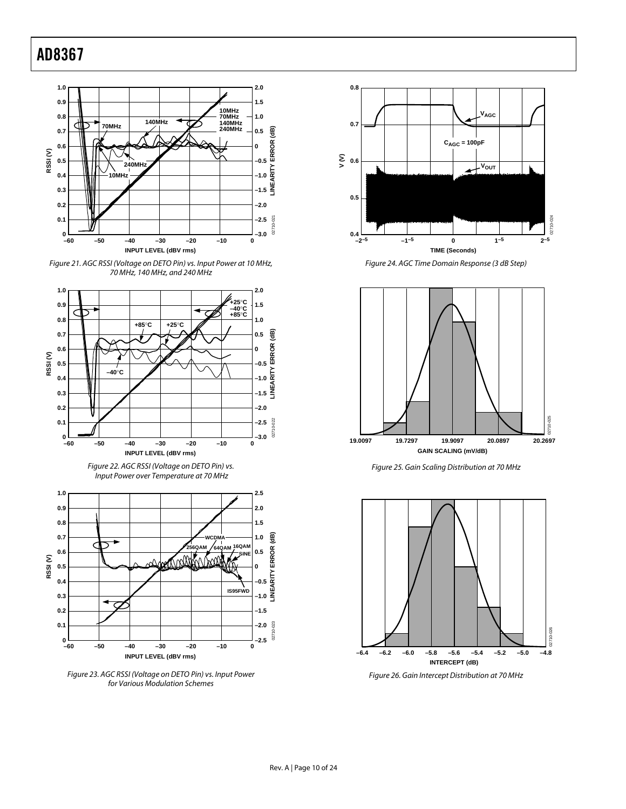

Figure 21. AGC RSSI (Voltage on DETO Pin) vs. Input Power at 10 MHz, 70 MHz, 140 MHz, and 240 MHz



Figure 23. AGC RSSI (Voltage on DETO Pin) vs. Input Power for Various Modulation Schemes



Figure 24. AGC Time Domain Response (3 dB Step)







Figure 26. Gain Intercept Distribution at 70 MHz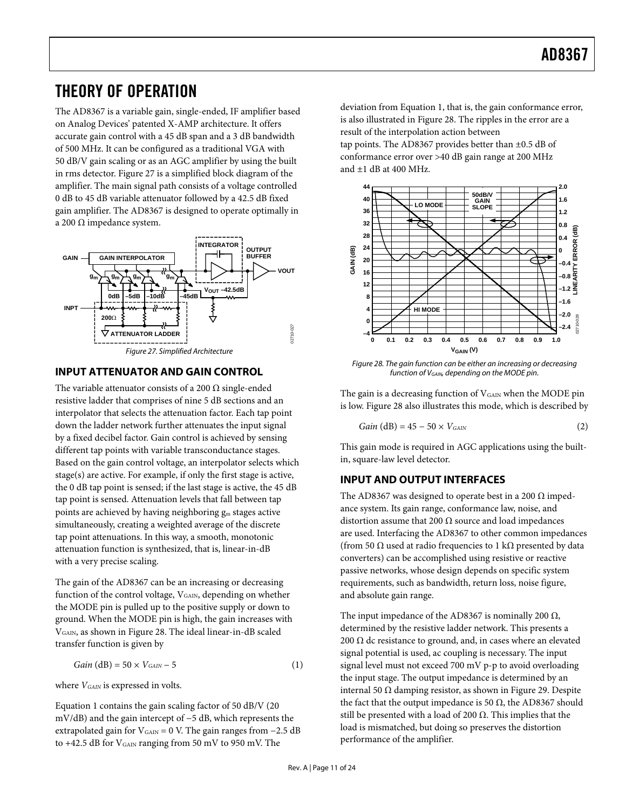### <span id="page-10-0"></span>THEORY OF OPERATION

The AD8367 is a variable gain, single-ended, IF amplifier based on Analog Devices' patented X-AMP architecture. It offers accurate gain control with a 45 dB span and a 3 dB bandwidth of 500 MHz. It can be configured as a traditional VGA with 50 dB/V gain scaling or as an AGC amplifier by using the built in rms detector. [Figure 27](#page-10-1) is a simplified block diagram of the amplifier. The main signal path consists of a voltage controlled 0 dB to 45 dB variable attenuator followed by a 42.5 dB fixed gain amplifier. The AD8367 is designed to operate optimally in a 200 Ω impedance system.



### <span id="page-10-2"></span><span id="page-10-1"></span>**INPUT ATTENUATOR AND GAIN CONTROL**

The variable attenuator consists of a 200  $\Omega$  single-ended resistive ladder that comprises of nine 5 dB sections and an interpolator that selects the attenuation factor. Each tap point down the ladder network further attenuates the input signal by a fixed decibel factor. Gain control is achieved by sensing different tap points with variable transconductance stages. Based on the gain control voltage, an interpolator selects which stage(s) are active. For example, if only the first stage is active, the 0 dB tap point is sensed; if the last stage is active, the 45 dB tap point is sensed. Attenuation levels that fall between tap points are achieved by having neighboring gm stages active simultaneously, creating a weighted average of the discrete tap point attenuations. In this way, a smooth, monotonic attenuation function is synthesized, that is, linear-in-dB with a very precise scaling.

The gain of the AD8367 can be an increasing or decreasing function of the control voltage, V<sub>GAIN</sub>, depending on whether the MODE pin is pulled up to the positive supply or down to ground. When the MODE pin is high, the gain increases with VGAIN, as shown in [Figure 28](#page-10-2). The ideal linear-in-dB scaled transfer function is given by

$$
Gain (dB) = 50 \times V_{GAN} - 5 \tag{1}
$$

where  $V_{\text{GAN}}$  is expressed in volts.

Equation 1 contains the gain scaling factor of 50 dB/V (20 mV/dB) and the gain intercept of −5 dB, which represents the extrapolated gain for  $V_{\text{GAN}} = 0$  V. The gain ranges from  $-2.5$  dB to +42.5 dB for V<sub>GAIN</sub> ranging from 50 mV to 950 mV. The

deviation from Equation 1, that is, the gain conformance error, is also illustrated in [Figure 28](#page-10-2). The ripples in the error are a result of the interpolation action between tap points. The AD8367 provides better than ±0.5 dB of conformance error over >40 dB gain range at 200 MHz

and ±1 dB at 400 MHz.



Figure 28. The gain function can be either an increasing or decreasing function of V<sub>GAIN</sub>, depending on the MODE pin.

The gain is a decreasing function of  $V_{\text{GAN}}$  when the MODE pin is low. [Figure 28](#page-10-2) also illustrates this mode, which is described by

$$
Gain (dB) = 45 - 50 \times V_{GAN}
$$
 (2)

This gain mode is required in AGC applications using the builtin, square-law level detector.

### **INPUT AND OUTPUT INTERFACES**

The AD8367 was designed to operate best in a 200  $\Omega$  impedance system. Its gain range, conformance law, noise, and distortion assume that 200  $\Omega$  source and load impedances are used. Interfacing the AD8367 to other common impedances (from 50  $\Omega$  used at radio frequencies to 1 k $\Omega$  presented by data converters) can be accomplished using resistive or reactive passive networks, whose design depends on specific system requirements, such as bandwidth, return loss, noise figure, and absolute gain range.

The input impedance of the AD8367 is nominally 200  $\Omega$ , determined by the resistive ladder network. This presents a 200  $\Omega$  dc resistance to ground, and, in cases where an elevated signal potential is used, ac coupling is necessary. The input signal level must not exceed 700 mV p-p to avoid overloading the input stage. The output impedance is determined by an internal 50 Ω damping resistor, as shown in [Figure 29](#page-11-1). Despite the fact that the output impedance is 50  $Ω$ , the AD8367 should still be presented with a load of 200  $\Omega$ . This implies that the load is mismatched, but doing so preserves the distortion performance of the amplifier.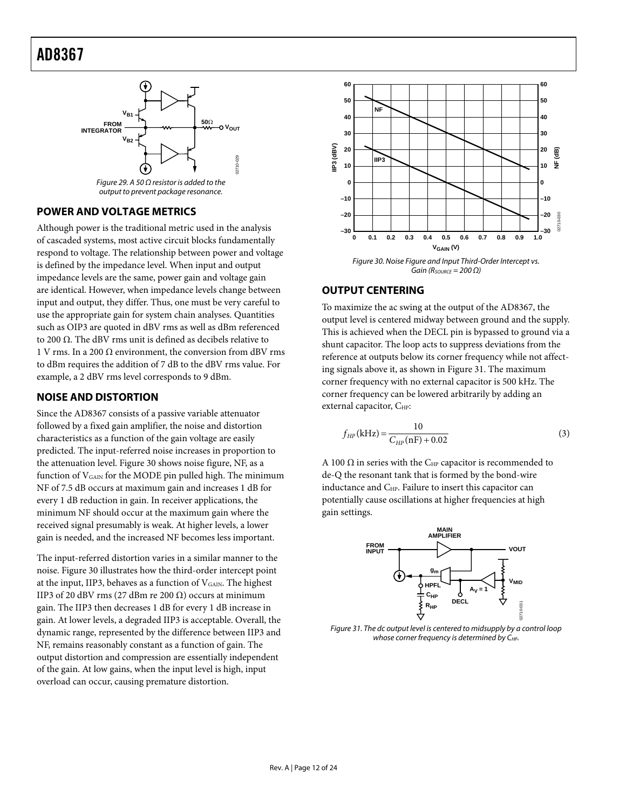<span id="page-11-0"></span>

Figure 29. A 50  $\Omega$  resistor is added to the output to prevent package resonance.

### <span id="page-11-1"></span>**POWER AND VOLTAGE METRICS**

<span id="page-11-2"></span>Although power is the traditional metric used in the analysis of cascaded systems, most active circuit blocks fundamentally respond to voltage. The relationship between power and voltage is defined by the impedance level. When input and output impedance levels are the same, power gain and voltage gain are identical. However, when impedance levels change between input and output, they differ. Thus, one must be very careful to use the appropriate gain for system chain analyses. Quantities such as OIP3 are quoted in dBV rms as well as dBm referenced to 200 Ω. The dBV rms unit is defined as decibels relative to 1 V rms. In a 200  $\Omega$  environment, the conversion from dBV rms to dBm requires the addition of 7 dB to the dBV rms value. For example, a 2 dBV rms level corresponds to 9 dBm.

### **NOISE AND DISTORTION**

Since the AD8367 consists of a passive variable attenuator followed by a fixed gain amplifier, the noise and distortion characteristics as a function of the gain voltage are easily predicted. The input-referred noise increases in proportion to the attenuation level. [Figure 30](#page-11-2) shows noise figure, NF, as a function of  $V_{\text{GAN}}$  for the MODE pin pulled high. The minimum NF of 7.5 dB occurs at maximum gain and increases 1 dB for every 1 dB reduction in gain. In receiver applications, the minimum NF should occur at the maximum gain where the received signal presumably is weak. At higher levels, a lower gain is needed, and the increased NF becomes less important.

<span id="page-11-3"></span>The input-referred distortion varies in a similar manner to the noise. [Figure 30](#page-11-2) illustrates how the third-order intercept point at the input, IIP3, behaves as a function of  $V_{\text{GAN}}$ . The highest IIP3 of 20 dBV rms (27 dBm re 200  $\Omega$ ) occurs at minimum gain. The IIP3 then decreases 1 dB for every 1 dB increase in gain. At lower levels, a degraded IIP3 is acceptable. Overall, the dynamic range, represented by the difference between IIP3 and NF, remains reasonably constant as a function of gain. The output distortion and compression are essentially independent of the gain. At low gains, when the input level is high, input overload can occur, causing premature distortion.



#### **OUTPUT CENTERING**

To maximize the ac swing at the output of the AD8367, the output level is centered midway between ground and the supply. This is achieved when the DECL pin is bypassed to ground via a shunt capacitor. The loop acts to suppress deviations from the reference at outputs below its corner frequency while not affecting signals above it, as shown in [Figure 31](#page-11-3). The maximum corner frequency with no external capacitor is 500 kHz. The corner frequency can be lowered arbitrarily by adding an external capacitor, C<sub>HP</sub>:

$$
f_{HP}(\text{kHz}) = \frac{10}{C_{HP}(\text{nF}) + 0.02} \tag{3}
$$

A 100  $\Omega$  in series with the C<sub>HP</sub> capacitor is recommended to de-Q the resonant tank that is formed by the bond-wire inductance and C<sub>HP</sub>. Failure to insert this capacitor can potentially cause oscillations at higher frequencies at high gain settings.



Figure 31. The dc output level is centered to midsupply by a control loop whose corner frequency is determined by CHP.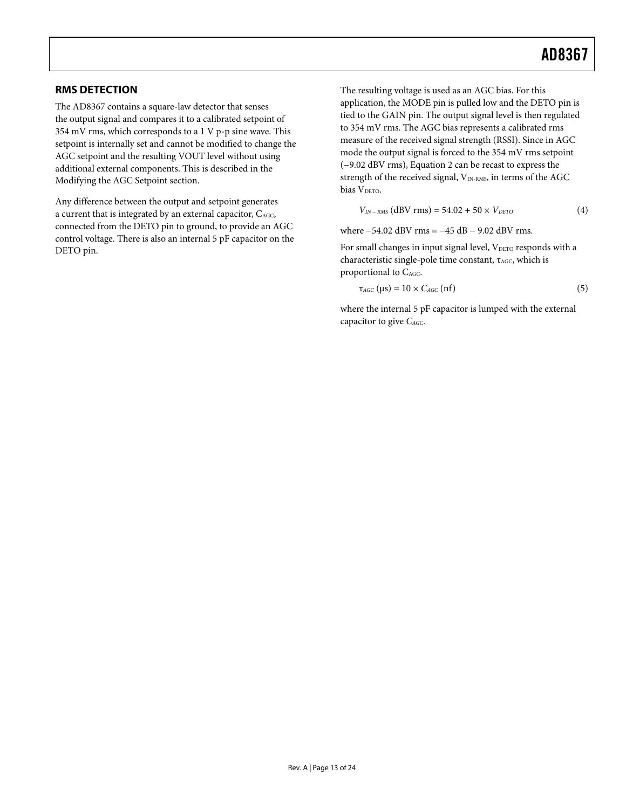### <span id="page-12-0"></span>**RMS DETECTION**

The AD8367 contains a square-law detector that senses the output signal and compares it to a calibrated setpoint of 354 mV rms, which corresponds to a 1 V p-p sine wave. This setpoint is internally set and cannot be modified to change the AGC setpoint and the resulting VOUT level without using additional external components. This is described in the [Modifying the AGC Setpoint](#page-15-1) section.

Any difference between the output and setpoint generates a current that is integrated by an external capacitor, CAGC, connected from the DETO pin to ground, to provide an AGC control voltage. There is also an internal 5 pF capacitor on the DETO pin.

The resulting voltage is used as an AGC bias. For this application, the MODE pin is pulled low and the DETO pin is tied to the GAIN pin. The output signal level is then regulated to 354 mV rms. The AGC bias represents a calibrated rms measure of the received signal strength (RSSI). Since in AGC mode the output signal is forced to the 354 mV rms setpoint (−9.02 dBV rms), Equation 2 can be recast to express the strength of the received signal, V<sub>IN-RMS</sub>, in terms of the AGC bias V<sub>DETO</sub>.

$$
V_{IN-RMS} (dBV rms) = 54.02 + 50 \times V_{DETO}
$$
 (4)

where −54.02 dBV rms = −45 dB − 9.02 dBV rms.

For small changes in input signal level, VDETO responds with a characteristic single-pole time constant, τ<sub>AGC</sub>, which is proportional to C<sub>AGC</sub>.

$$
\tau_{AGC} (\mu s) = 10 \times C_{AGC} (nf)
$$
\n(5)

where the internal 5 pF capacitor is lumped with the external capacitor to give *CAGC*.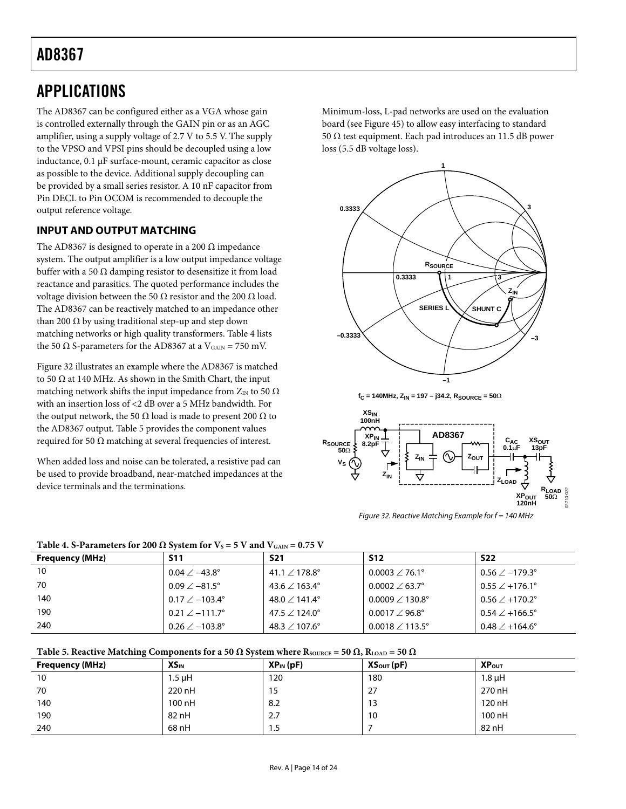### <span id="page-13-0"></span>APPLICATIONS

The AD8367 can be configured either as a VGA whose gain is controlled externally through the GAIN pin or as an AGC amplifier, using a supply voltage of 2.7 V to 5.5 V. The supply to the VPSO and VPSI pins should be decoupled using a low inductance, 0.1 μF surface-mount, ceramic capacitor as close as possible to the device. Additional supply decoupling can be provided by a small series resistor. A 10 nF capacitor from Pin DECL to Pin OCOM is recommended to decouple the output reference voltage.

### **INPUT AND OUTPUT MATCHING**

The AD8367 is designed to operate in a 200  $\Omega$  impedance system. The output amplifier is a low output impedance voltage buffer with a 50 Ω damping resistor to desensitize it from load reactance and parasitics. The quoted performance includes the voltage division between the 50 Ω resistor and the 200 Ω load. The AD8367 can be reactively matched to an impedance other than 200 Ω by using traditional step-up and step down matching networks or high quality transformers. [Table 4](#page-13-1) lists the 50 Ω S-parameters for the AD8367 at a  $V_{\text{GAN}} = 750$  mV.

[Figure 32](#page-13-2) illustrates an example where the AD8367 is matched to 50  $\Omega$  at 140 MHz. As shown in the Smith Chart, the input matching network shifts the input impedance from  $Z_{\text{IN}}$  to 50  $\Omega$ with an insertion loss of <2 dB over a 5 MHz bandwidth. For the output network, the 50  $\Omega$  load is made to present 200  $\Omega$  to the AD8367 output. [Table 5](#page-13-3) provides the component values required for 50  $Ω$  matching at several frequencies of interest.

When added loss and noise can be tolerated, a resistive pad can be used to provide broadband, near-matched impedances at the device terminals and the terminations.

Minimum-loss, L-pad networks are used on the evaluation board (see [Figure 45](#page-19-1)) to allow easy interfacing to standard 50 Ω test equipment. Each pad introduces an 11.5 dB power loss (5.5 dB voltage loss).



**fC = 140MHz, ZIN = 197 – j34.2, RSOURCE = 50**Ω



Figure 32. Reactive Matching Example for  $f = 140$  MHz

<span id="page-13-1"></span>

| <b>Frequency (MHz)</b> | S11                          | <b>S21</b>                | <b>S12</b>                    | <b>S22</b>                   |  |  |  |
|------------------------|------------------------------|---------------------------|-------------------------------|------------------------------|--|--|--|
| 10                     | $0.04 \angle -43.8^{\circ}$  | 41.1 $\angle$ 178.8°      | $0.0003 \angle 76.1^{\circ}$  | $0.56 \angle -179.3^{\circ}$ |  |  |  |
| 70                     | $0.09 \angle -81.5^{\circ}$  | 43.6 $\angle$ 163.4°      | $0.0002 \angle 63.7^{\circ}$  | $0.55 \angle +176.1^{\circ}$ |  |  |  |
| 140                    | $0.17 \angle -103.4^{\circ}$ | 48.0 $/$ 141.4 $^{\circ}$ | $0.0009 \angle 130.8^{\circ}$ | $0.56 \angle +170.2^{\circ}$ |  |  |  |
| 190                    | $0.21 \angle -111.7^{\circ}$ | 47.5 $\angle$ 124.0°      | $0.0017 \angle 96.8^{\circ}$  | $0.54 \angle +166.5^{\circ}$ |  |  |  |
| 240                    | $0.26 \angle -103.8^{\circ}$ | 48.3 $\angle$ 107.6°      | $0.0018 \angle 113.5^{\circ}$ | $0.48 \angle +164.6^{\circ}$ |  |  |  |

<span id="page-13-2"></span>

**Table 5. Reactive Matching Components for a 50**  $\Omega$  **System where Rsource = 50**  $\Omega$ **, RLOAD = 50**  $\Omega$ 

<span id="page-13-3"></span>

| <b>Frequency (MHz)</b> | <b>XS<sub>IN</sub></b> | $XP_{IN}(pF)$ | $XS_{\text{OUT}}(pF)$ | XP <sub>OUT</sub> |
|------------------------|------------------------|---------------|-----------------------|-------------------|
| 10                     | 1.5 µH                 | 120           | 180                   | $1.8 \mu H$       |
| 70                     | 220 nH                 | 15            | 27                    | 270 nH            |
| 140                    | 100 nH                 | 8.2           | 13                    | 120 nH            |
| 190                    | 82 nH                  | 2.7           | 10                    | 100 nH            |
| 240                    | 68 nH                  | 1.5           |                       | 82 nH             |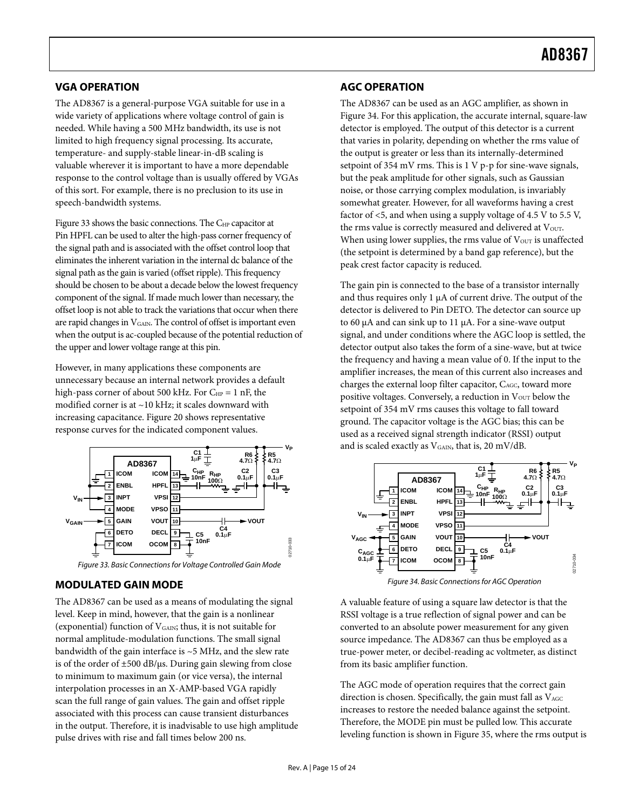### <span id="page-14-0"></span>**VGA OPERATION**

The AD8367 is a general-purpose VGA suitable for use in a wide variety of applications where voltage control of gain is needed. While having a 500 MHz bandwidth, its use is not limited to high frequency signal processing. Its accurate, temperature- and supply-stable linear-in-dB scaling is valuable wherever it is important to have a more dependable response to the control voltage than is usually offered by VGAs of this sort. For example, there is no preclusion to its use in speech-bandwidth systems.

[Figure 33](#page-14-1) shows the basic connections. The C<sub>HP</sub> capacitor at Pin HPFL can be used to alter the high-pass corner frequency of the signal path and is associated with the offset control loop that eliminates the inherent variation in the internal dc balance of the signal path as the gain is varied (offset ripple). This frequency should be chosen to be about a decade below the lowest frequency component of the signal. If made much lower than necessary, the offset loop is not able to track the variations that occur when there are rapid changes in  $V_{\text{GAN}}$ . The control of offset is important even when the output is ac-coupled because of the potential reduction of the upper and lower voltage range at this pin.

However, in many applications these components are unnecessary because an internal network provides a default high-pass corner of about 500 kHz. For  $C_{HP} = 1$  nF, the modified corner is at ~10 kHz; it scales downward with increasing capacitance. [Figure 20](#page-8-0) shows representative response curves for the indicated component values.



Figure 33. Basic Connections for Voltage Controlled Gain Mode

### <span id="page-14-2"></span><span id="page-14-1"></span>**MODULATED GAIN MODE**

The AD8367 can be used as a means of modulating the signal level. Keep in mind, however, that the gain is a nonlinear (exponential) function of  $V_{\text{GAN}}$ ; thus, it is not suitable for normal amplitude-modulation functions. The small signal bandwidth of the gain interface is ~5 MHz, and the slew rate is of the order of  $\pm 500$  dB/ $\mu$ s. During gain slewing from close to minimum to maximum gain (or vice versa), the internal interpolation processes in an X-AMP-based VGA rapidly scan the full range of gain values. The gain and offset ripple associated with this process can cause transient disturbances in the output. Therefore, it is inadvisable to use high amplitude pulse drives with rise and fall times below 200 ns.

### **AGC OPERATION**

The AD8367 can be used as an AGC amplifier, as shown in [Figure 34](#page-14-2). For this application, the accurate internal, square-law detector is employed. The output of this detector is a current that varies in polarity, depending on whether the rms value of the output is greater or less than its internally-determined setpoint of 354 mV rms. This is 1 V p-p for sine-wave signals, but the peak amplitude for other signals, such as Gaussian noise, or those carrying complex modulation, is invariably somewhat greater. However, for all waveforms having a crest factor of <5, and when using a supply voltage of 4.5 V to 5.5 V, the rms value is correctly measured and delivered at Vout. When using lower supplies, the rms value of  $V<sub>OUT</sub>$  is unaffected (the setpoint is determined by a band gap reference), but the peak crest factor capacity is reduced.

The gain pin is connected to the base of a transistor internally and thus requires only 1 μA of current drive. The output of the detector is delivered to Pin DETO. The detector can source up to 60 μA and can sink up to 11 μA. For a sine-wave output signal, and under conditions where the AGC loop is settled, the detector output also takes the form of a sine-wave, but at twice the frequency and having a mean value of 0. If the input to the amplifier increases, the mean of this current also increases and charges the external loop filter capacitor, CAGC, toward more positive voltages. Conversely, a reduction in  $V<sub>OUT</sub>$  below the setpoint of 354 mV rms causes this voltage to fall toward ground. The capacitor voltage is the AGC bias; this can be used as a received signal strength indicator (RSSI) output and is scaled exactly as  $V_{\text{GAIN}}$ , that is, 20 mV/dB.



A valuable feature of using a square law detector is that the RSSI voltage is a true reflection of signal power and can be converted to an absolute power measurement for any given source impedance. The AD8367 can thus be employed as a true-power meter, or decibel-reading ac voltmeter, as distinct from its basic amplifier function.

The AGC mode of operation requires that the correct gain direction is chosen. Specifically, the gain must fall as  $V_{\rm{AGC}}$ increases to restore the needed balance against the setpoint. Therefore, the MODE pin must be pulled low. This accurate leveling function is shown in [Figure 35,](#page-15-2) where the rms output is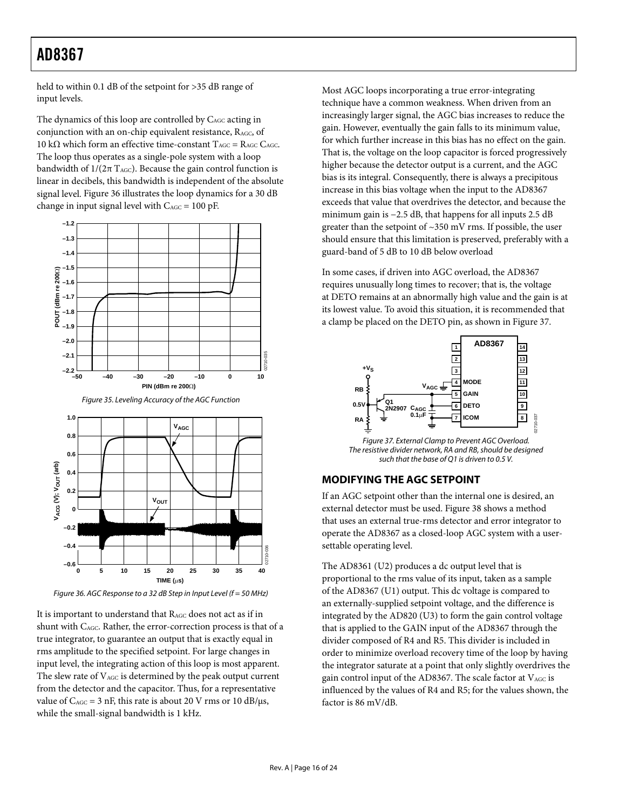<span id="page-15-0"></span>held to within 0.1 dB of the setpoint for >35 dB range of input levels.

The dynamics of this loop are controlled by C<sub>AGC</sub> acting in conjunction with an on-chip equivalent resistance, R<sub>AGC</sub>, of 10 kΩ which form an effective time-constant  $T_{AGC} = R_{AGC} C_{AGC}$ . The loop thus operates as a single-pole system with a loop bandwidth of  $1/(2\pi \text{ T}_{\text{AGC}})$ . Because the gain control function is linear in decibels, this bandwidth is independent of the absolute signal level. [Figure 36](#page-15-3) illustrates the loop dynamics for a 30 dB change in input signal level with  $C_{\text{AGC}} = 100 \text{ pF}$ .

<span id="page-15-2"></span>

<span id="page-15-4"></span><span id="page-15-1"></span>Figure 36. AGC Response to a 32 dB Step in Input Level ( $f = 50$  MHz)

<span id="page-15-3"></span>It is important to understand that RAGC does not act as if in shunt with CAGC. Rather, the error-correction process is that of a true integrator, to guarantee an output that is exactly equal in rms amplitude to the specified setpoint. For large changes in input level, the integrating action of this loop is most apparent. The slew rate of  $V_{\text{AGC}}$  is determined by the peak output current from the detector and the capacitor. Thus, for a representative value of  $C_{\text{AGC}} = 3$  nF, this rate is about 20 V rms or 10 dB/ $\mu$ s, while the small-signal bandwidth is 1 kHz.

Most AGC loops incorporating a true error-integrating technique have a common weakness. When driven from an increasingly larger signal, the AGC bias increases to reduce the gain. However, eventually the gain falls to its minimum value, for which further increase in this bias has no effect on the gain. That is, the voltage on the loop capacitor is forced progressively higher because the detector output is a current, and the AGC bias is its integral. Consequently, there is always a precipitous increase in this bias voltage when the input to the AD8367 exceeds that value that overdrives the detector, and because the minimum gain is −2.5 dB, that happens for all inputs 2.5 dB greater than the setpoint of  $\sim$ 350 mV rms. If possible, the user should ensure that this limitation is preserved, preferably with a guard-band of 5 dB to 10 dB below overload

In some cases, if driven into AGC overload, the AD8367 requires unusually long times to recover; that is, the voltage at DETO remains at an abnormally high value and the gain is at its lowest value. To avoid this situation, it is recommended that a clamp be placed on the DETO pin, as shown in [Figure 37](#page-15-4).



Figure 37. External Clamp to Prevent AGC Overload. The resistive divider network, RA and RB, should be designed such that the base of Q1 is driven to 0.5 V.

### **MODIFYING THE AGC SETPOINT**

If an AGC setpoint other than the internal one is desired, an external detector must be used. [Figure 38](#page-16-0) shows a method that uses an external true-rms detector and error integrator to operate the AD8367 as a closed-loop AGC system with a usersettable operating level.

The AD8361 (U2) produces a dc output level that is proportional to the rms value of its input, taken as a sample of the AD8367 (U1) output. This dc voltage is compared to an externally-supplied setpoint voltage, and the difference is integrated by the AD820 (U3) to form the gain control voltage that is applied to the GAIN input of the AD8367 through the divider composed of R4 and R5. This divider is included in order to minimize overload recovery time of the loop by having the integrator saturate at a point that only slightly overdrives the gain control input of the AD8367. The scale factor at  $V_{AGC}$  is influenced by the values of R4 and R5; for the values shown, the factor is 86 mV/dB.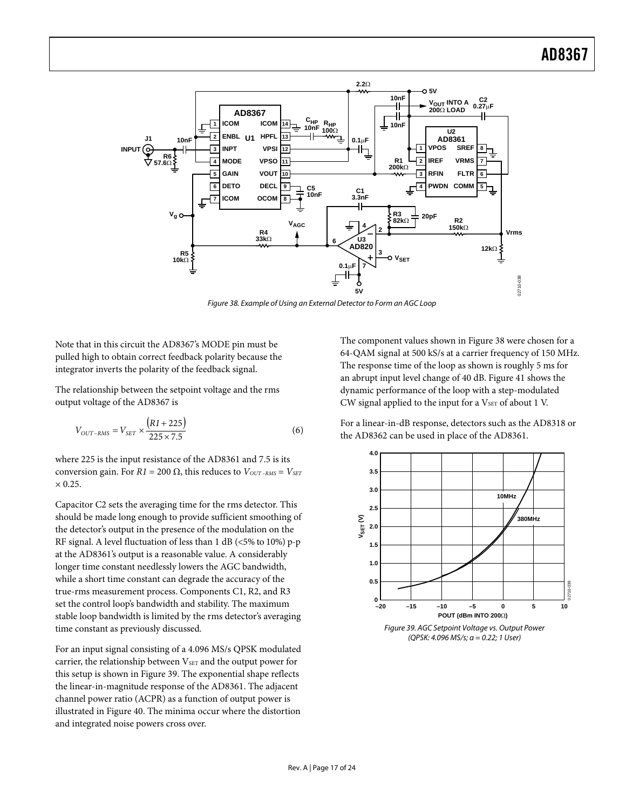

Figure 38. Example of Using an External Detector to Form an AGC Loop

<span id="page-16-0"></span>Note that in this circuit the AD8367's MODE pin must be pulled high to obtain correct feedback polarity because the integrator inverts the polarity of the feedback signal.

The relationship between the setpoint voltage and the rms output voltage of the AD8367 is

$$
V_{OUT-RMS} = V_{SET} \times \frac{(R1 + 225)}{225 \times 7.5}
$$
 (6)

where 225 is the input resistance of the AD8361 and 7.5 is its conversion gain. For  $RI = 200 \Omega$ , this reduces to  $V_{OUT-RMS} = V_{SET}$  $\times$  0.25.

Capacitor C2 sets the averaging time for the rms detector. This should be made long enough to provide sufficient smoothing of the detector's output in the presence of the modulation on the RF signal. A level fluctuation of less than 1 dB (<5% to 10%) p-p at the AD8361's output is a reasonable value. A considerably longer time constant needlessly lowers the AGC bandwidth, while a short time constant can degrade the accuracy of the true-rms measurement process. Components C1, R2, and R3 set the control loop's bandwidth and stability. The maximum stable loop bandwidth is limited by the rms detector's averaging time constant as previously discussed.

<span id="page-16-1"></span>For an input signal consisting of a 4.096 MS/s QPSK modulated carrier, the relationship between VSET and the output power for this setup is shown in [Figure 39](#page-16-1). The exponential shape reflects the linear-in-magnitude response of the AD8361. The adjacent channel power ratio (ACPR) as a function of output power is illustrated in [Figure 40.](#page-17-0) The minima occur where the distortion and integrated noise powers cross over.

The component values shown in [Figure 38](#page-16-0) were chosen for a 64-QAM signal at 500 kS/s at a carrier frequency of 150 MHz. The response time of the loop as shown is roughly 5 ms for an abrupt input level change of 40 dB. [Figure 41](#page-17-1) shows the dynamic performance of the loop with a step-modulated CW signal applied to the input for a  $V<sub>SET</sub>$  of about 1 V.

For a linear-in-dB response, detectors such as the AD8318 or the AD8362 can be used in place of the AD8361.



Figure 39. AGC Setpoint Voltage vs. Output Power (QPSK: 4.096 MS/s; α = 0.22; 1 User)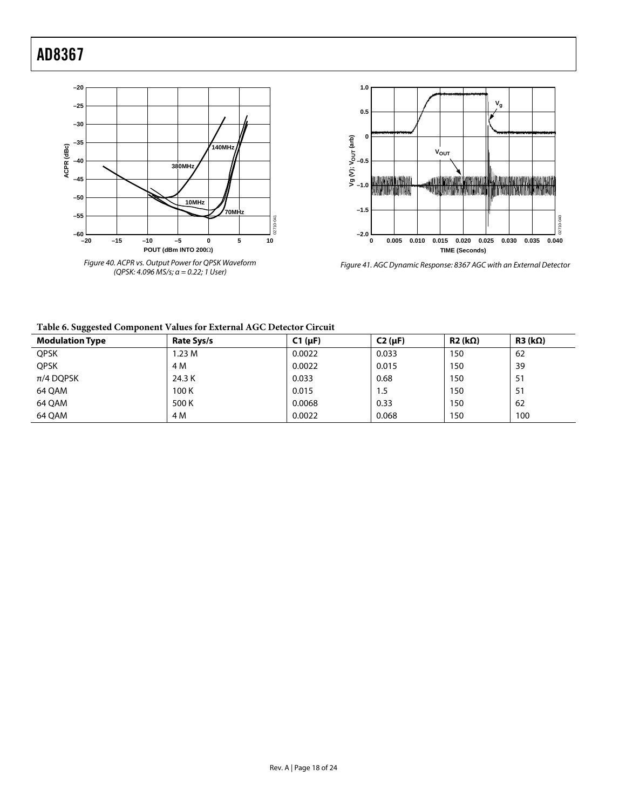



Figure 41. AGC Dynamic Response: 8367 AGC with an External Detector

#### <span id="page-17-1"></span><span id="page-17-0"></span>**Table 6. Suggested Component Values for External AGC Detector Circuit**

| $\tilde{ }$<br><b>Modulation Type</b> | Rate Sys/s | $C1(\mu F)$ | $C2(\mu F)$ | $R2$ (kΩ) | $R3$ (k $\Omega$ ) |
|---------------------------------------|------------|-------------|-------------|-----------|--------------------|
| <b>QPSK</b>                           | 1.23M      | 0.0022      | 0.033       | 150       | 62                 |
| <b>QPSK</b>                           | 4 M        | 0.0022      | 0.015       | 150       | 39                 |
| $\pi$ /4 DQPSK                        | 24.3 K     | 0.033       | 0.68        | 150       | 51                 |
| 64 QAM                                | 100K       | 0.015       | 1.5         | 150       | 51                 |
| 64 QAM                                | 500 K      | 0.0068      | 0.33        | 150       | 62                 |
| 64 QAM                                | 4 M        | 0.0022      | 0.068       | 150       | 100                |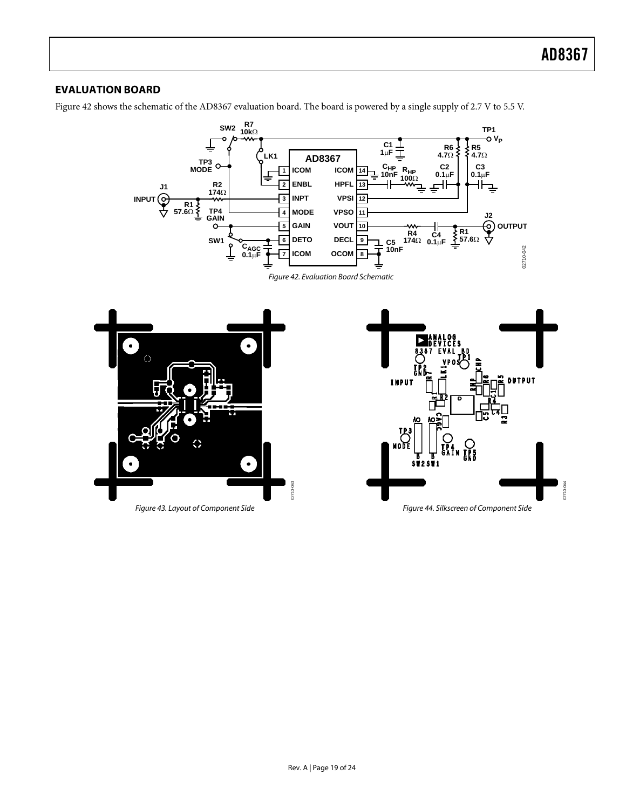### <span id="page-18-0"></span>**EVALUATION BOARD**

[Figure 42](#page-18-1) shows the schematic of the AD8367 evaluation board. The board is powered by a single supply of 2.7 V to 5.5 V.



Figure 42. Evaluation Board Schematic

<span id="page-18-1"></span>

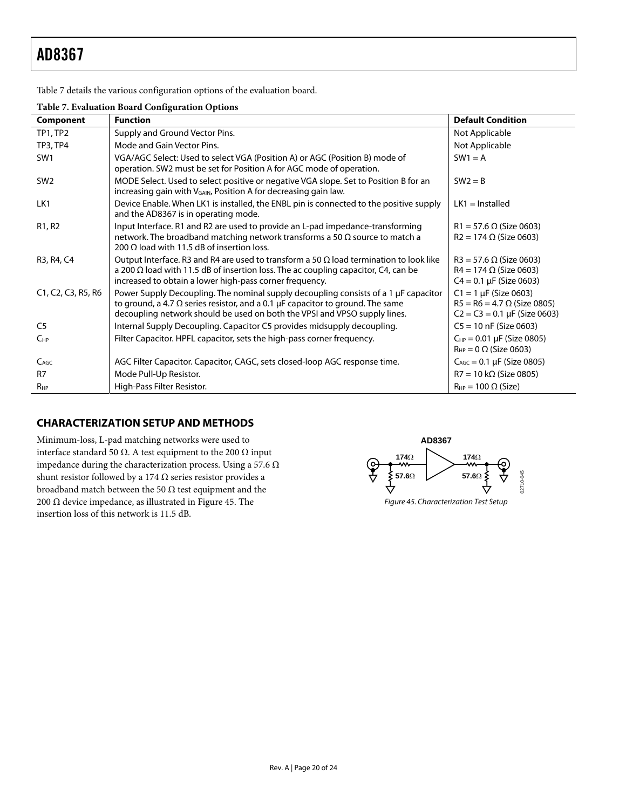<span id="page-19-0"></span>[Table 7](#page-19-2) details the various configuration options of the evaluation board.

#### **Table 7. Evaluation Board Configuration Options**

<span id="page-19-2"></span>

| Component                       | <b>Function</b>                                                                                                                                                      | <b>Default Condition</b>                                                |
|---------------------------------|----------------------------------------------------------------------------------------------------------------------------------------------------------------------|-------------------------------------------------------------------------|
| <b>TP1, TP2</b>                 | Supply and Ground Vector Pins.                                                                                                                                       | Not Applicable                                                          |
| <b>TP3, TP4</b>                 | Mode and Gain Vector Pins.                                                                                                                                           | Not Applicable                                                          |
| SW <sub>1</sub>                 | VGA/AGC Select: Used to select VGA (Position A) or AGC (Position B) mode of<br>operation. SW2 must be set for Position A for AGC mode of operation.                  | $SW1 = A$                                                               |
| SW <sub>2</sub>                 | MODE Select. Used to select positive or negative VGA slope. Set to Position B for an<br>increasing gain with V <sub>GAIN</sub> , Position A for decreasing gain law. | $SW2 = B$                                                               |
| LK1                             | Device Enable. When LK1 is installed, the ENBL pin is connected to the positive supply<br>and the AD8367 is in operating mode.                                       | $LK1 =$ Installed                                                       |
| R <sub>1</sub> , R <sub>2</sub> | Input Interface. R1 and R2 are used to provide an L-pad impedance-transforming                                                                                       | $R1 = 57.6 \Omega$ (Size 0603)                                          |
|                                 | network. The broadband matching network transforms a 50 $\Omega$ source to match a<br>200 $\Omega$ load with 11.5 dB of insertion loss.                              | $R2 = 174 \Omega$ (Size 0603)                                           |
| R3, R4, C4                      | Output Interface. R3 and R4 are used to transform a 50 $\Omega$ load termination to look like                                                                        | $R3 = 57.6 \Omega$ (Size 0603)                                          |
|                                 | a 200 $\Omega$ load with 11.5 dB of insertion loss. The ac coupling capacitor, C4, can be<br>increased to obtain a lower high-pass corner frequency.                 | $R4 = 174 \Omega$ (Size 0603)<br>$C4 = 0.1 \mu F$ (Size 0603)           |
| C1, C2, C3, R5, R6              | Power Supply Decoupling. The nominal supply decoupling consists of a 1 $\mu$ F capacitor                                                                             | $C1 = 1 \mu F$ (Size 0603)                                              |
|                                 | to ground, a 4.7 $\Omega$ series resistor, and a 0.1 µF capacitor to ground. The same<br>decoupling network should be used on both the VPSI and VPSO supply lines.   | $R5 = R6 = 4.7 \Omega$ (Size 0805)<br>$C2 = C3 = 0.1 \mu F$ (Size 0603) |
| C <sub>5</sub>                  | Internal Supply Decoupling. Capacitor C5 provides midsupply decoupling.                                                                                              | $C5 = 10$ nF (Size 0603)                                                |
| $C_{HP}$                        | Filter Capacitor. HPFL capacitor, sets the high-pass corner frequency.                                                                                               | $C_{HP} = 0.01 \mu F$ (Size 0805)<br>$R_{HP} = 0 \Omega$ (Size 0603)    |
| C <sub>AGC</sub>                | AGC Filter Capacitor. Capacitor, CAGC, sets closed-loop AGC response time.                                                                                           | $C_{AGC} = 0.1 \mu F$ (Size 0805)                                       |
| R <sub>7</sub>                  | Mode Pull-Up Resistor.                                                                                                                                               | $R7 = 10 k\Omega$ (Size 0805)                                           |
| $R_{HP}$                        | High-Pass Filter Resistor.                                                                                                                                           | $R_{HP} = 100 \Omega$ (Size)                                            |

### **CHARACTERIZATION SETUP AND METHODS**

<span id="page-19-1"></span>Minimum-loss, L-pad matching networks were used to interface standard 50 Ω. A test equipment to the 200 Ω input impedance during the characterization process. Using a 57.6  $\Omega$ shunt resistor followed by a 174  $\Omega$  series resistor provides a broadband match between the 50  $\Omega$  test equipment and the 200 Ω device impedance, as illustrated in [Figure 45](#page-19-1). The insertion loss of this network is 11.5 dB.

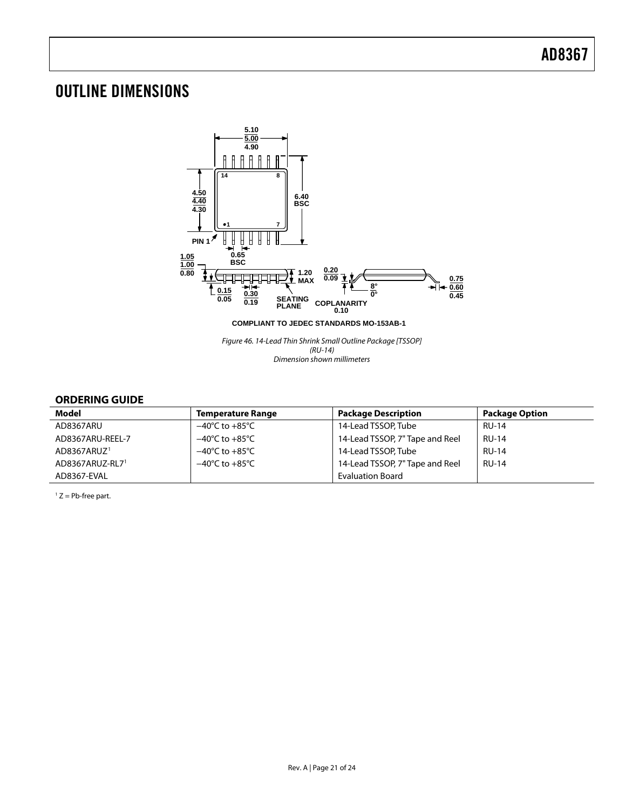### <span id="page-20-0"></span>OUTLINE DIMENSIONS



### **ORDERING GUIDE**

<span id="page-20-1"></span>

| <b>Model</b>            | <b>Temperature Range</b>           | <b>Package Description</b>      | <b>Package Option</b> |
|-------------------------|------------------------------------|---------------------------------|-----------------------|
| AD8367ARU               | $-40^{\circ}$ C to $+85^{\circ}$ C | 14-Lead TSSOP, Tube             | <b>RU-14</b>          |
| AD8367ARU-REEL-7        | $-40^{\circ}$ C to $+85^{\circ}$ C | 14-Lead TSSOP, 7" Tape and Reel | <b>RU-14</b>          |
| AD8367ARUZ <sup>1</sup> | $-40^{\circ}$ C to $+85^{\circ}$ C | 14-Lead TSSOP, Tube             | <b>RU-14</b>          |
| AD8367ARUZ-RL71         | $-40^{\circ}$ C to $+85^{\circ}$ C | 14-Lead TSSOP, 7" Tape and Reel | <b>RU-14</b>          |
| AD8367-EVAL             |                                    | <b>Evaluation Board</b>         |                       |

 $1 Z = Pb$ -free part.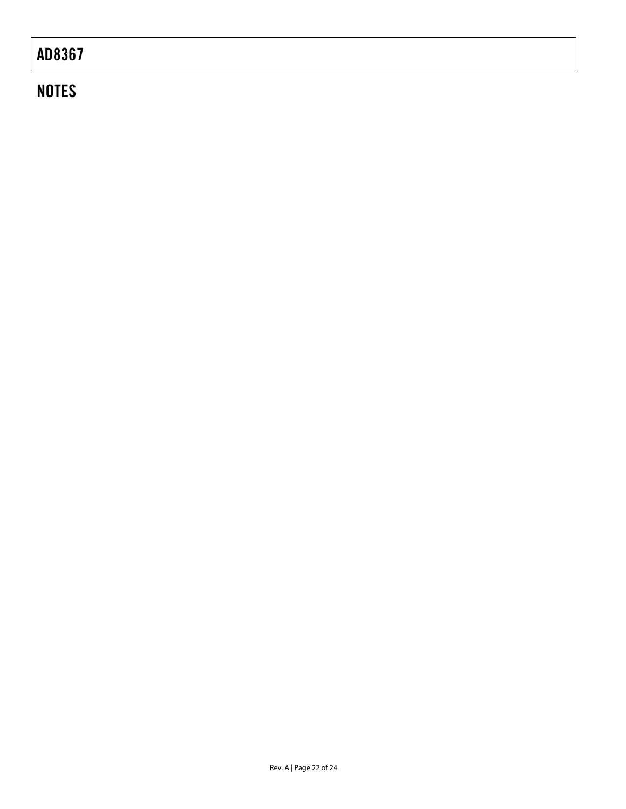# **NOTES**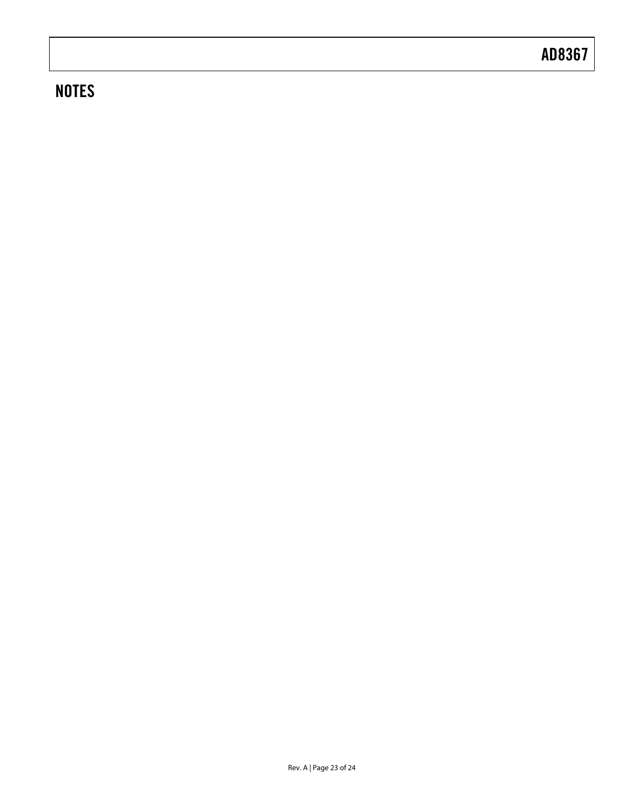# **NOTES**